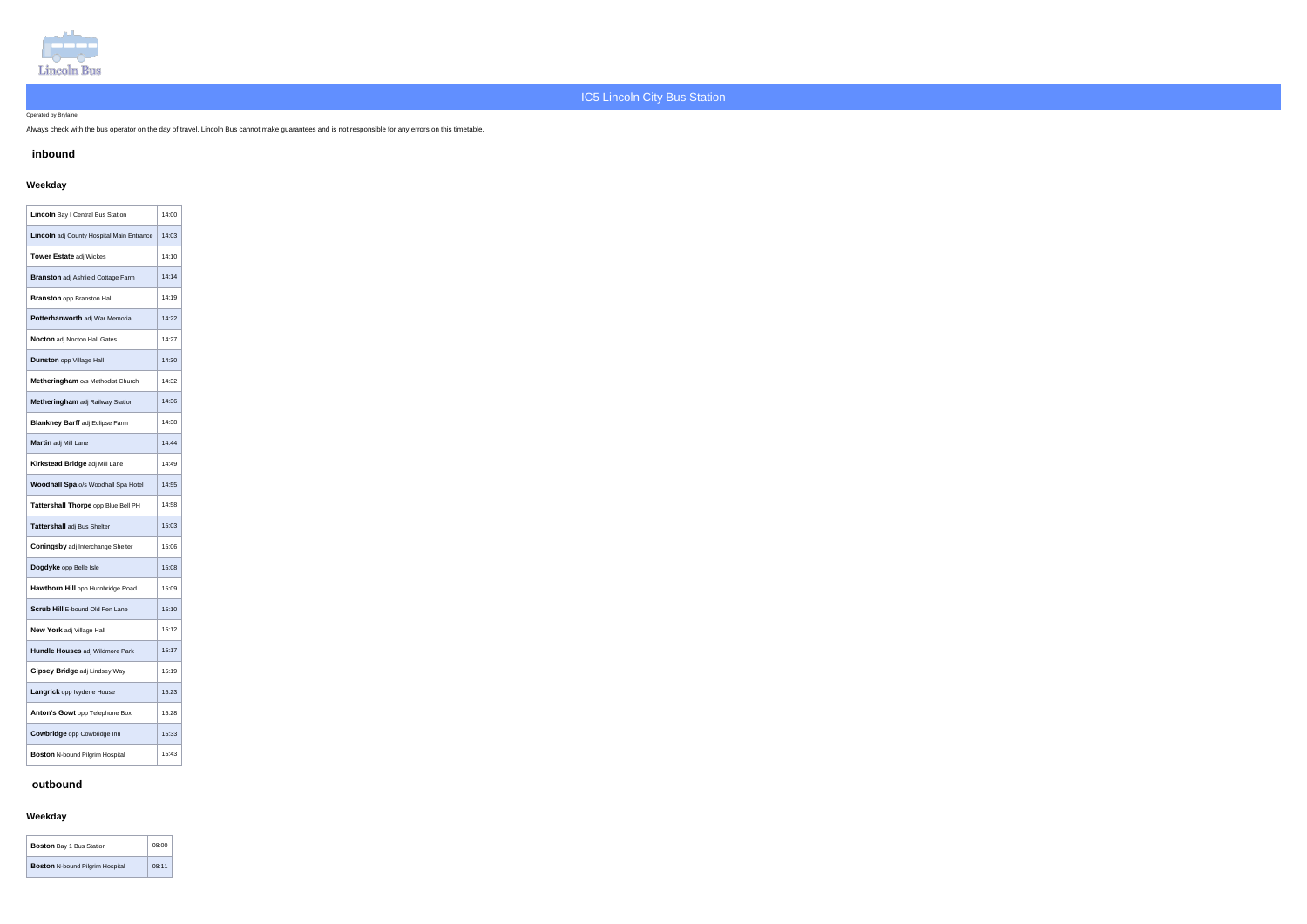

### Operated by Brylaine

Always check with the bus operator on the day of travel. Lincoln Bus cannot make guarantees and is not responsible for any errors on this timetable.

# **inbound**

# **Weekday**

| Lincoln Bay I Central Bus Station         | 14:00 |
|-------------------------------------------|-------|
| Lincoln adj County Hospital Main Entrance | 14:03 |
| <b>Tower Estate adj Wickes</b>            | 14:10 |
| <b>Branston</b> adj Ashfield Cottage Farm | 14:14 |
| <b>Branston opp Branston Hall</b>         | 14:19 |
| Potterhanworth adj War Memorial           | 14:22 |
| <b>Nocton</b> adj Nocton Hall Gates       | 14:27 |
| <b>Dunston opp Village Hall</b>           | 14:30 |
| Metheringham o/s Methodist Church         | 14:32 |
| Metheringham adj Railway Station          | 14:36 |
| <b>Blankney Barff adj Eclipse Farm</b>    | 14:38 |
| Martin adj Mill Lane                      | 14:44 |
| Kirkstead Bridge adj Mill Lane            | 14:49 |
| Woodhall Spa o/s Woodhall Spa Hotel       | 14:55 |
| Tattershall Thorpe opp Blue Bell PH       | 14:58 |
| Tattershall adj Bus Shelter               | 15:03 |
| <b>Coningsby adj Interchange Shelter</b>  | 15:06 |
| Dogdyke opp Belle Isle                    | 15:08 |
| Hawthorn Hill opp Hurnbridge Road         | 15:09 |
| Scrub Hill E-bound Old Fen Lane           | 15:10 |
| New York adj Village Hall                 | 15:12 |
| <b>Hundle Houses adj Wildmore Park</b>    | 15:17 |
| Gipsey Bridge adj Lindsey Way             | 15:19 |
| <b>Langrick</b> opp lvydene House         | 15:23 |
| Anton's Gowt opp Telephone Box            | 15:28 |
| <b>Cowbridge</b> opp Cowbridge Inn        | 15:33 |
| <b>Boston N-bound Pilgrim Hospital</b>    | 15:43 |

## **outbound**

## **Weekday**

| <b>Boston Bay 1 Bus Station</b>        | 08:00 |
|----------------------------------------|-------|
| <b>Boston N-bound Pilgrim Hospital</b> | 08:11 |